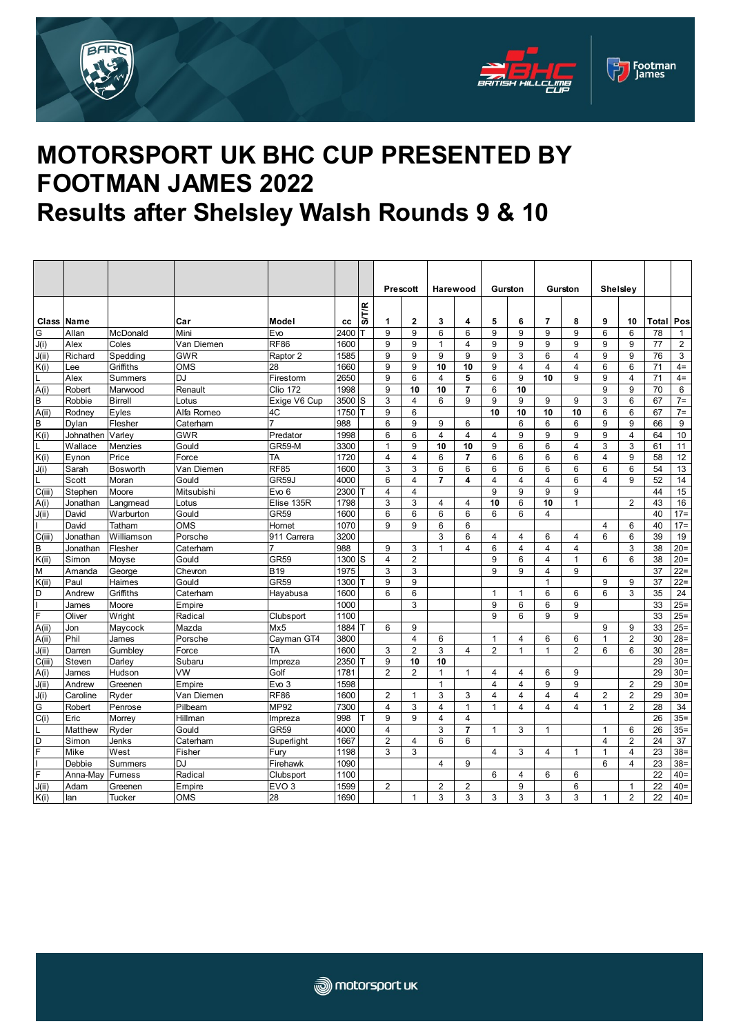





## **MOTORSPORT UK BHC CUP PRESENTED BY FOOTMAN JAMES 2022 Results after Shelsley Walsh Rounds 9 & 10**

|                   |                 |                     |                          |                           |              |              | <b>Prescott</b> |                     | Harewood                |                     | Gurston                 |                | Gurston                          |                   |                | <b>Shelsley</b> |          |                             |
|-------------------|-----------------|---------------------|--------------------------|---------------------------|--------------|--------------|-----------------|---------------------|-------------------------|---------------------|-------------------------|----------------|----------------------------------|-------------------|----------------|-----------------|----------|-----------------------------|
|                   |                 |                     |                          |                           |              |              |                 |                     |                         |                     |                         |                |                                  |                   |                |                 |          |                             |
|                   |                 |                     |                          |                           |              | <b>SITIR</b> |                 |                     |                         |                     |                         |                |                                  |                   |                |                 |          |                             |
| <b>Class Name</b> |                 |                     | Car                      | Model                     | cc           |              | 1               | $\mathbf{2}$        | 3                       | 4                   | 5                       | 6              | $\overline{7}$                   | 8                 | 9              | 10              | Total    | Pos                         |
| G<br>J(i)         | Allan           | McDonald            | Mini                     | Evo<br><b>RF86</b>        | 2400         |              | 9<br>9          | 9<br>9              | 6<br>$\mathbf{1}$       | 6<br>$\overline{4}$ | 9<br>9                  | 9<br>9         | 9<br>9                           | 9<br>9            | 6<br>9         | 6<br>9          | 78<br>77 | $\mathbf 1$<br>$\mathbf{2}$ |
| J(ii)             | Alex<br>Richard | Coles<br>Spedding   | Van Diemen<br><b>GWR</b> | Raptor 2                  | 1600<br>1585 |              | 9               | 9                   | 9                       | 9                   | 9                       | 3              | 6                                | 4                 | 9              | 9               | 76       | 3                           |
| K(i)              | ee              | Griffiths           | OMS                      | 28                        | 1660         |              | 9               | 9                   | 10                      | 10                  | 9                       | $\overline{4}$ | $\overline{4}$                   | 4                 | 6              | 6               | 71       | $4=$                        |
|                   | Alex            | Summers             | D.I                      | Firestorm                 | 2650         |              | 9               | 6                   | 4                       | 5                   | 6                       | 9              | 10                               | 9                 | 9              | 4               | 71       | $4=$                        |
| A(i)              | Robert          | Marwood             | Renault                  | <b>Clio 172</b>           | 1998         |              | 9               | 10                  | 10                      | $\overline{7}$      | 6                       | 10             |                                  |                   | 9              | 9               | 70       | 6                           |
| B                 | Robbie          | <b>Birrell</b>      | Lotus                    | Exige V6 Cup              | 3500         | S            | 3               | 4                   | 6                       | 9                   | 9                       | 9              | 9                                | 9                 | 3              | 6               | 67       | $7 =$                       |
| A(ii)             | Rodney          | Eyles               | Alfa Romeo               | 4C                        | 1750         |              | 9               | 6                   |                         |                     | 10                      | 10             | 10                               | 10                | 6              | 6               | 67       | $7=$                        |
| B                 | Dylan           | Flesher             | Caterham                 | 7                         | 988          |              | 6               | 9                   | 9                       | 6                   |                         | 6              | 6                                | 6                 | 9              | 9               | 66       | 9                           |
| K(i)              | Johnathen       | Varley              | GWR                      | Predator                  | 1998         |              | 6               | 6                   | $\overline{4}$          | $\overline{4}$      | $\overline{4}$          | 9              | 9                                | 9                 | 9              | 4               | 64       | 10                          |
|                   | Wallace         | Menzies             | Gould                    | <b>GR59-M</b>             | 3300         |              | $\mathbf{1}$    | 9                   | 10                      | 10                  | 9                       | 6              | 6                                | 4                 | 3              | 3               | 61       | 11                          |
| K(i)              | Eynon           | Price               | Force                    | TA                        | 1720         |              | $\overline{4}$  | 4                   | 6                       | $\overline{7}$      | 6                       | $6\phantom{1}$ | 6                                | 6                 | 4              | 9               | 58       | 12                          |
| J(i)              | Sarah           | Bosworth            | Van Diemen               | <b>RF85</b>               | 1600         |              | 3               | 3                   | 6                       | 6                   | 6                       | 6              | 6                                | 6                 | 6              | 6               | 54       | 13                          |
|                   | Scott           | Moran               | Gould                    | GR59J                     | 4000         |              | 6               | $\overline{4}$      | $\overline{\mathbf{r}}$ | 4                   | $\overline{\mathbf{4}}$ | $\overline{4}$ | $\overline{4}$                   | 6                 | $\overline{4}$ | 9               | 52       | 14                          |
| C(iii)            | Stephen         | Moore               | Mitsubishi               | Evo <sub>6</sub>          | 2300         |              | 4               | 4                   |                         |                     | 9                       | 9              | 9                                | 9                 |                |                 | 44       | 15                          |
| A(i)              | Jonathan        | Langmead            | Lotus                    | Elise 135R                | 1798         |              | 3               | 3                   | 4                       | 4                   | 10                      | 6              | 10                               | $\mathbf{1}$      |                | 2               | 43       | 16                          |
| J(ii)             | David           | Warburton           | Gould                    | <b>GR59</b>               | 1600         |              | 6               | 6                   | 6                       | 6                   | 6                       | 6              | 4                                |                   |                |                 | 40       | $17 =$                      |
|                   | David           | Tatham              | <b>OMS</b>               | Hornet                    | 1070         |              | 9               | 9                   | 6                       | 6                   |                         |                |                                  |                   | $\overline{4}$ | 6               | 40       | $17 =$                      |
| C(iii)            | Jonathan        | Williamson          | Porsche                  | 911 Carrera               | 3200         |              |                 |                     | 3                       | 6                   | $\overline{4}$          | $\overline{4}$ | 6                                | $\overline{4}$    | 6              | 6               | 39       | 19                          |
| B                 | Jonathan        | Flesher             | Caterham                 | 7                         | 988          |              | 9               | 3                   | $\mathbf{1}$            | $\overline{4}$      | 6                       | $\overline{4}$ | $\overline{4}$                   | 4                 |                | 3               | 38       | $20=$                       |
| K(ii)<br>M        | Simon           | Moyse               | Gould                    | <b>GR59</b><br><b>B19</b> | 1300<br>1975 | 'S           | 4<br>3          | $\overline{2}$<br>3 |                         |                     | 9<br>9                  | 6<br>9         | $\overline{4}$<br>$\overline{4}$ | $\mathbf{1}$<br>9 | 6              | 6               | 38<br>37 | $20=$<br>$22 =$             |
| K(i)              | Amanda<br>Paul  | George              | Chevron<br>Gould         | GR59                      | 1300         |              | 9               | 9                   |                         |                     |                         |                | $\mathbf{1}$                     |                   | 9              | 9               | 37       | $22 =$                      |
| D                 | Andrew          | Haimes<br>Griffiths | Caterham                 | Hayabusa                  | 1600         |              | 6               | 6                   |                         |                     | $\mathbf{1}$            | $\mathbf{1}$   | 6                                | 6                 | 6              | 3               | 35       | 24                          |
|                   | James           | Moore               | Empire                   |                           | 1000         |              |                 | 3                   |                         |                     | 9                       | 6              | 6                                | 9                 |                |                 | 33       | $25 =$                      |
| F                 | Oliver          | Wright              | Radical                  | Clubsport                 | 1100         |              |                 |                     |                         |                     | 9                       | 6              | 9                                | 9                 |                |                 | 33       | $25 =$                      |
| A(i)              | Jon             | Maycock             | Mazda                    | Mx5                       | 1884         |              | 6               | 9                   |                         |                     |                         |                |                                  |                   | 9              | 9               | 33       | $25 =$                      |
| A(i)              | Phil            | James               | Porsche                  | Cayman GT4                | 3800         |              |                 | 4                   | 6                       |                     | $\mathbf 1$             | 4              | 6                                | 6                 | $\mathbf{1}$   | $\overline{2}$  | 30       | $28 =$                      |
| J(ii)             | Darren          | Gumbley             | Force                    | TA                        | 1600         |              | 3               | $\overline{2}$      | 3                       | $\overline{4}$      | $\overline{2}$          | $\mathbf{1}$   | $\mathbf{1}$                     | $\overline{2}$    | 6              | 6               | 30       | $28 =$                      |
| C(iii)            | Steven          | Darlev              | Subaru                   | Impreza                   | 2350         |              | 9               | 10                  | 10                      |                     |                         |                |                                  |                   |                |                 | 29       | $30=$                       |
| A(i)              | James           | Hudson              | VW                       | Golf                      | 1781         |              | $\overline{2}$  | $\overline{2}$      | $\mathbf{1}$            | $\mathbf{1}$        | $\overline{4}$          | 4              | 6                                | 9                 |                |                 | 29       | $30=$                       |
| J(ii)             | Andrew          | Greenen             | Empire                   | Evo <sub>3</sub>          | 1598         |              |                 |                     | $\mathbf{1}$            |                     | $\overline{4}$          | $\overline{4}$ | 9                                | 9                 |                | $\overline{2}$  | 29       | $30=$                       |
| J(i)              | Caroline        | Ryder               | Van Diemen               | RF <sub>86</sub>          | 1600         |              | $\overline{2}$  | 1                   | 3                       | 3                   | $\overline{4}$          | $\overline{4}$ | $\overline{4}$                   | $\overline{4}$    | $\overline{2}$ | $\overline{2}$  | 29       | $30=$                       |
| G                 | Robert          | Penrose             | Pilbeam                  | <b>MP92</b>               | 7300         |              | $\overline{4}$  | 3                   | $\overline{4}$          | $\mathbf{1}$        | $\mathbf{1}$            | $\overline{4}$ | $\overline{4}$                   | $\overline{4}$    | $\mathbf{1}$   | $\overline{2}$  | 28       | 34                          |
| C(i)              | Eric            | Morrey              | Hillman                  | Impreza                   | 998          |              | 9               | 9                   | $\overline{4}$          | 4                   |                         |                |                                  |                   |                |                 | 26       | $35=$                       |
|                   | Matthew         | Ryder               | Gould                    | <b>GR59</b>               | 4000         |              | $\overline{4}$  |                     | 3                       | $\overline{7}$      | $\mathbf{1}$            | 3              | $\mathbf{1}$                     |                   | $\mathbf{1}$   | 6               | 26       | $35=$                       |
| D                 | Simon           | Jenks               | Caterham                 | Superlight                | 1667         |              | $\overline{2}$  | 4                   | 6                       | 6                   |                         |                |                                  |                   | $\overline{4}$ | $\overline{2}$  | 24       | 37                          |
| F                 | Mike            | West                | Fisher                   | Furv                      | 1198         |              | 3               | 3                   |                         |                     | 4                       | 3              | $\overline{4}$                   | $\mathbf{1}$      | $\overline{1}$ | 4               | 23       | $38=$                       |
|                   | Debbie          | Summers             | <b>DJ</b>                | Firehawk                  | 1090         |              |                 |                     | $\overline{4}$          | 9                   |                         |                |                                  |                   | 6              | $\overline{4}$  | 23       | $38 =$                      |
| F                 | Anna-May        | <b>Furness</b>      | Radical                  | Clubsport                 | 1100         |              |                 |                     |                         |                     | 6                       | $\overline{4}$ | 6                                | 6                 |                |                 | 22       | $40=$                       |
| J(ii)             | Adam            | Greenen             | Empire                   | EVO <sub>3</sub>          | 1599         |              | $\overline{2}$  |                     | $\overline{2}$          | $\overline{2}$      |                         | 9              |                                  | 6                 |                | $\mathbf{1}$    | 22       | $40=$                       |
| K(i)              | lan             | Tucker              | <b>OMS</b>               | 28                        | 1690         |              |                 | $\mathbf{1}$        | 3                       | 3                   | 3                       | 3              | 3                                | 3                 | 1              | $\overline{c}$  | 22       | $40=$                       |